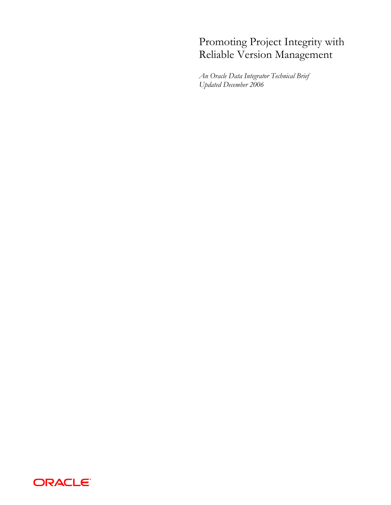# Promoting Project Integrity with Reliable Version Management

*An Oracle Data Integrator Technical Brief Updated December 2006* 

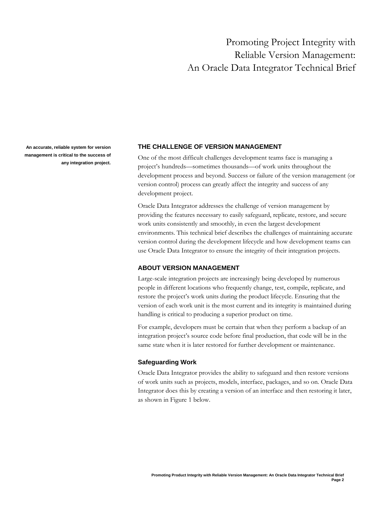## Promoting Project Integrity with Reliable Version Management: An Oracle Data Integrator Technical Brief

**management is critical to the success of any integration project.** 

## **An accurate, reliable system for version THE CHALLENGE OF VERSION MANAGEMENT**

One of the most difficult challenges development teams face is managing a project's hundreds—sometimes thousands—of work units throughout the development process and beyond. Success or failure of the version management (or version control) process can greatly affect the integrity and success of any development project.

Oracle Data Integrator addresses the challenge of version management by providing the features necessary to easily safeguard, replicate, restore, and secure work units consistently and smoothly, in even the largest development environments. This technical brief describes the challenges of maintaining accurate version control during the development lifecycle and how development teams can use Oracle Data Integrator to ensure the integrity of their integration projects.

## **ABOUT VERSION MANAGEMENT**

Large-scale integration projects are increasingly being developed by numerous people in different locations who frequently change, test, compile, replicate, and restore the project's work units during the product lifecycle. Ensuring that the version of each work unit is the most current and its integrity is maintained during handling is critical to producing a superior product on time.

For example, developers must be certain that when they perform a backup of an integration project's source code before final production, that code will be in the same state when it is later restored for further development or maintenance.

#### **Safeguarding Work**

Oracle Data Integrator provides the ability to safeguard and then restore versions of work units such as projects, models, interface, packages, and so on. Oracle Data Integrator does this by creating a version of an interface and then restoring it later, as shown in Figure 1 below.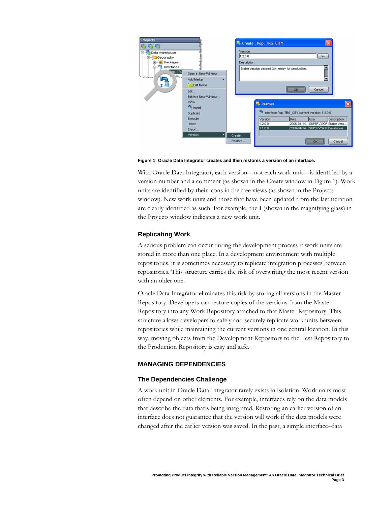

**Figure 1: Oracle Data Integrator creates and then restores a version of an interface.** 

With Oracle Data Integrator, each version—not each work unit—is identified by a version number and a comment (as shown in the Create window in Figure 1). Work units are identified by their icons in the tree views (as shown in the Projects window). New work units and those that have been updated from the last iteration are clearly identified as such. For example, the **I** (shown in the magnifying glass) in the Projects window indicates a new work unit.

#### **Replicating Work**

A serious problem can occur during the development process if work units are stored in more than one place. In a development environment with multiple repositories, it is sometimes necessary to replicate integration processes between repositories. This structure carries the risk of overwriting the most recent version with an older one.

Oracle Data Integrator eliminates this risk by storing all versions in the Master Repository. Developers can restore copies of the versions from the Master Repository into any Work Repository attached to that Master Repository. This structure allows developers to safely and securely replicate work units between repositories while maintaining the current versions in one central location. In this way, moving objects from the Development Repository to the Test Repository to the Production Repository is easy and safe.

#### **MANAGING DEPENDENCIES**

#### **The Dependencies Challenge**

A work unit in Oracle Data Integrator rarely exists in isolation. Work units most often depend on other elements. For example, interfaces rely on the data models that describe the data that's being integrated. Restoring an earlier version of an interface does not guarantee that the version will work if the data models were changed after the earlier version was saved. In the past, a simple interface–data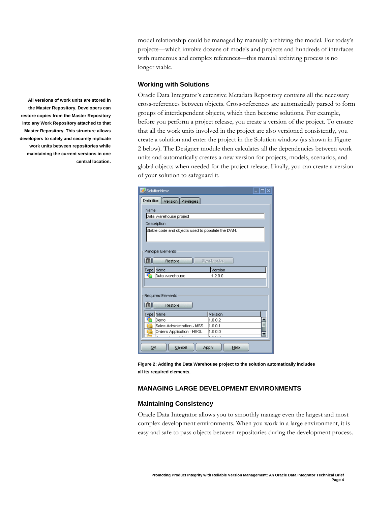model relationship could be managed by manually archiving the model. For today's projects—which involve dozens of models and projects and hundreds of interfaces with numerous and complex references—this manual archiving process is no longer viable.

### **Working with Solutions**

Oracle Data Integrator's extensive Metadata Repository contains all the necessary cross-references between objects. Cross-references are automatically parsed to form groups of interdependent objects, which then become solutions. For example, before you perform a project release, you create a version of the project. To ensure that all the work units involved in the project are also versioned consistently, you create a solution and enter the project in the Solution window (as shown in Figure 2 below). The Designer module then calculates all the dependencies between work units and automatically creates a new version for projects, models, scenarios, and global objects when needed for the project release. Finally, you can create a version of your solution to safeguard it.

| SolutionNew                                       |                         |
|---------------------------------------------------|-------------------------|
| Definition<br>Version Privileges                  |                         |
| Name                                              |                         |
| Data warehouse project                            |                         |
| Description                                       |                         |
| Stable code and objects used to populate the DWH. |                         |
| Principal Elements                                |                         |
| Synchronize<br>Restore                            |                         |
| <u>Type</u> Name                                  | Version                 |
| Data warehouse                                    | 1.2.0.0                 |
|                                                   |                         |
| Required Elements                                 |                         |
| Restore                                           |                         |
| Type Name                                         | Version                 |
| Demo                                              | 1.0.0.2                 |
| Sales Administration - MSS <sup>[</sup> 1.0.0.1]  |                         |
| Orders Application - HSQL<br>廡                    | 1.0.0.0<br><del>.</del> |
|                                                   |                         |
| OK<br>Apply<br>Cancel<br>Help                     |                         |

**Figure 2: Adding the Data Warehouse project to the solution automatically includes all its required elements.** 

## **MANAGING LARGE DEVELOPMENT ENVIRONMENTS**

#### **Maintaining Consistency**

Oracle Data Integrator allows you to smoothly manage even the largest and most complex development environments. When you work in a large environment, it is easy and safe to pass objects between repositories during the development process.

**All versions of work units are stored in the Master Repository. Developers can restore copies from the Master Repository into any Work Repository attached to that Master Repository. This structure allows developers to safely and securely replicate work units between repositories while maintaining the current versions in one central location.**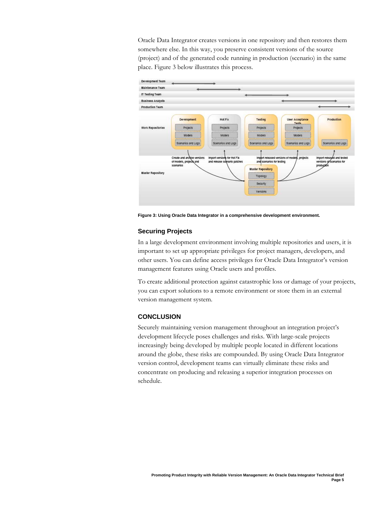Oracle Data Integrator creates versions in one repository and then restores them somewhere else. In this way, you preserve consistent versions of the source (project) and of the generated code running in production (scenario) in the same place. Figure 3 below illustrates this process.



**Figure 3: Using Oracle Data Integrator in a comprehensive development environment.** 

## **Securing Projects**

In a large development environment involving multiple repositories and users, it is important to set up appropriate privileges for project managers, developers, and other users. You can define access privileges for Oracle Data Integrator's version management features using Oracle users and profiles.

To create additional protection against catastrophic loss or damage of your projects, you can export solutions to a remote environment or store them in an external version management system.

#### **CONCLUSION**

Securely maintaining version management throughout an integration project's development lifecycle poses challenges and risks. With large-scale projects increasingly being developed by multiple people located in different locations around the globe, these risks are compounded. By using Oracle Data Integrator version control, development teams can virtually eliminate these risks and concentrate on producing and releasing a superior integration processes on schedule.